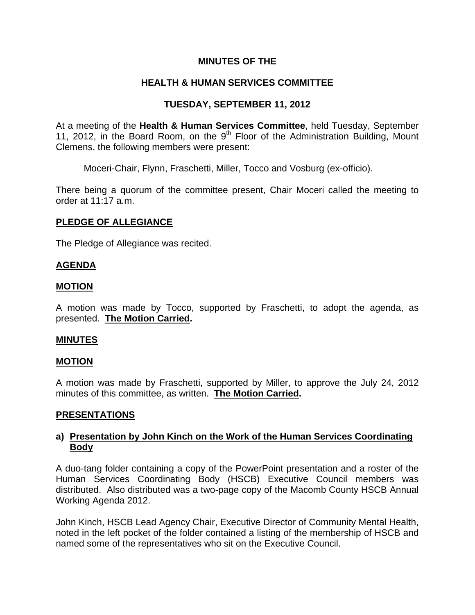## **MINUTES OF THE**

# **HEALTH & HUMAN SERVICES COMMITTEE**

## **TUESDAY, SEPTEMBER 11, 2012**

At a meeting of the **Health & Human Services Committee**, held Tuesday, September 11, 2012, in the Board Room, on the  $9<sup>th</sup>$  Floor of the Administration Building, Mount Clemens, the following members were present:

Moceri-Chair, Flynn, Fraschetti, Miller, Tocco and Vosburg (ex-officio).

There being a quorum of the committee present, Chair Moceri called the meeting to order at 11:17 a.m.

## **PLEDGE OF ALLEGIANCE**

The Pledge of Allegiance was recited.

## **AGENDA**

## **MOTION**

A motion was made by Tocco, supported by Fraschetti, to adopt the agenda, as presented. **The Motion Carried.** 

#### **MINUTES**

#### **MOTION**

A motion was made by Fraschetti, supported by Miller, to approve the July 24, 2012 minutes of this committee, as written. **The Motion Carried.** 

#### **PRESENTATIONS**

## **a) Presentation by John Kinch on the Work of the Human Services Coordinating Body**

A duo-tang folder containing a copy of the PowerPoint presentation and a roster of the Human Services Coordinating Body (HSCB) Executive Council members was distributed. Also distributed was a two-page copy of the Macomb County HSCB Annual Working Agenda 2012.

John Kinch, HSCB Lead Agency Chair, Executive Director of Community Mental Health, noted in the left pocket of the folder contained a listing of the membership of HSCB and named some of the representatives who sit on the Executive Council.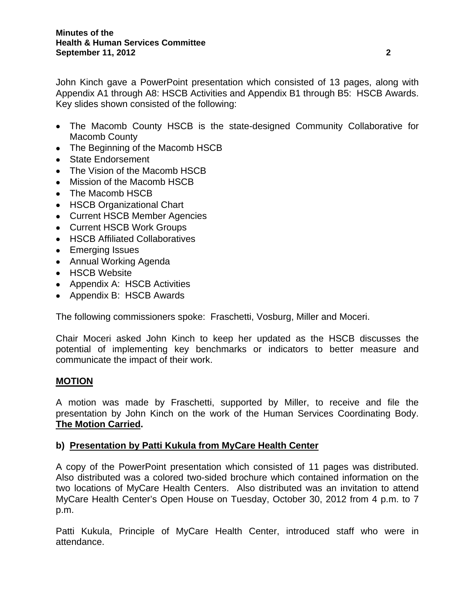John Kinch gave a PowerPoint presentation which consisted of 13 pages, along with Appendix A1 through A8: HSCB Activities and Appendix B1 through B5: HSCB Awards. Key slides shown consisted of the following:

- The Macomb County HSCB is the state-designed Community Collaborative for Macomb County
- The Beginning of the Macomb HSCB
- State Endorsement
- The Vision of the Macomb HSCB
- Mission of the Macomb HSCB
- The Macomb HSCB
- HSCB Organizational Chart
- Current HSCB Member Agencies
- Current HSCB Work Groups
- HSCB Affiliated Collaboratives
- Emerging Issues
- Annual Working Agenda
- HSCB Website
- Appendix A: HSCB Activities
- Appendix B: HSCB Awards

The following commissioners spoke: Fraschetti, Vosburg, Miller and Moceri.

Chair Moceri asked John Kinch to keep her updated as the HSCB discusses the potential of implementing key benchmarks or indicators to better measure and communicate the impact of their work.

## **MOTION**

A motion was made by Fraschetti, supported by Miller, to receive and file the presentation by John Kinch on the work of the Human Services Coordinating Body. **The Motion Carried.** 

## **b) Presentation by Patti Kukula from MyCare Health Center**

A copy of the PowerPoint presentation which consisted of 11 pages was distributed. Also distributed was a colored two-sided brochure which contained information on the two locations of MyCare Health Centers. Also distributed was an invitation to attend MyCare Health Center's Open House on Tuesday, October 30, 2012 from 4 p.m. to 7 p.m.

Patti Kukula, Principle of MyCare Health Center, introduced staff who were in attendance.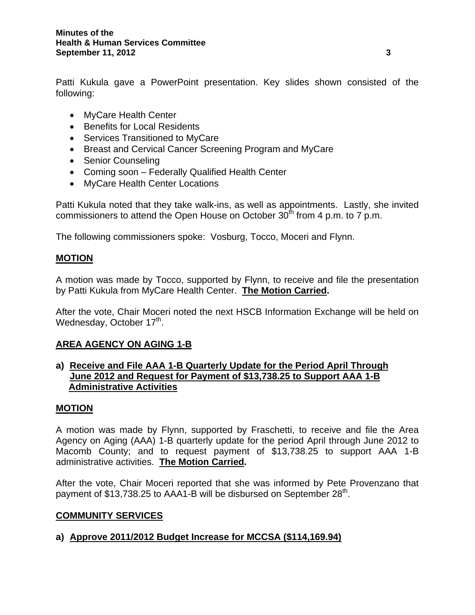Patti Kukula gave a PowerPoint presentation. Key slides shown consisted of the following:

- MyCare Health Center
- Benefits for Local Residents
- Services Transitioned to MyCare
- Breast and Cervical Cancer Screening Program and MyCare
- Senior Counseling
- Coming soon Federally Qualified Health Center
- MyCare Health Center Locations

Patti Kukula noted that they take walk-ins, as well as appointments. Lastly, she invited commissioners to attend the Open House on October  $30<sup>th</sup>$  from 4 p.m. to 7 p.m.

The following commissioners spoke: Vosburg, Tocco, Moceri and Flynn.

## **MOTION**

A motion was made by Tocco, supported by Flynn, to receive and file the presentation by Patti Kukula from MyCare Health Center. **The Motion Carried.** 

After the vote, Chair Moceri noted the next HSCB Information Exchange will be held on Wednesday, October 17<sup>th</sup>.

## **AREA AGENCY ON AGING 1-B**

## **a) Receive and File AAA 1-B Quarterly Update for the Period April Through June 2012 and Request for Payment of \$13,738.25 to Support AAA 1-B Administrative Activities**

#### **MOTION**

A motion was made by Flynn, supported by Fraschetti, to receive and file the Area Agency on Aging (AAA) 1-B quarterly update for the period April through June 2012 to Macomb County; and to request payment of \$13,738.25 to support AAA 1-B administrative activities. **The Motion Carried.** 

After the vote, Chair Moceri reported that she was informed by Pete Provenzano that payment of  $$13,738.25$  to AAA1-B will be disbursed on September  $28<sup>th</sup>$ .

## **COMMUNITY SERVICES**

## **a) Approve 2011/2012 Budget Increase for MCCSA (\$114,169.94)**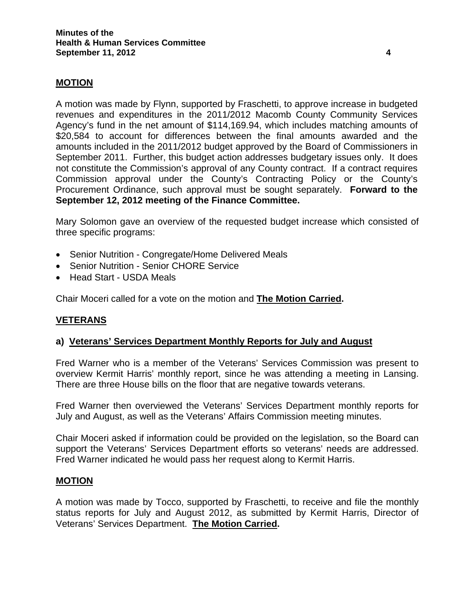## **MOTION**

A motion was made by Flynn, supported by Fraschetti, to approve increase in budgeted revenues and expenditures in the 2011/2012 Macomb County Community Services Agency's fund in the net amount of \$114,169.94, which includes matching amounts of \$20,584 to account for differences between the final amounts awarded and the amounts included in the 2011/2012 budget approved by the Board of Commissioners in September 2011. Further, this budget action addresses budgetary issues only. It does not constitute the Commission's approval of any County contract. If a contract requires Commission approval under the County's Contracting Policy or the County's Procurement Ordinance, such approval must be sought separately. **Forward to the September 12, 2012 meeting of the Finance Committee.** 

Mary Solomon gave an overview of the requested budget increase which consisted of three specific programs:

- Senior Nutrition Congregate/Home Delivered Meals
- Senior Nutrition Senior CHORE Service
- Head Start USDA Meals

Chair Moceri called for a vote on the motion and **The Motion Carried.** 

## **VETERANS**

#### **a) Veterans' Services Department Monthly Reports for July and August**

Fred Warner who is a member of the Veterans' Services Commission was present to overview Kermit Harris' monthly report, since he was attending a meeting in Lansing. There are three House bills on the floor that are negative towards veterans.

Fred Warner then overviewed the Veterans' Services Department monthly reports for July and August, as well as the Veterans' Affairs Commission meeting minutes.

Chair Moceri asked if information could be provided on the legislation, so the Board can support the Veterans' Services Department efforts so veterans' needs are addressed. Fred Warner indicated he would pass her request along to Kermit Harris.

#### **MOTION**

A motion was made by Tocco, supported by Fraschetti, to receive and file the monthly status reports for July and August 2012, as submitted by Kermit Harris, Director of Veterans' Services Department. **The Motion Carried.**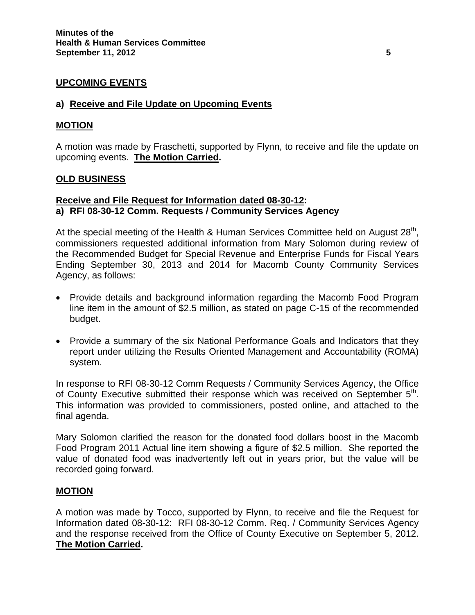## **UPCOMING EVENTS**

### **a) Receive and File Update on Upcoming Events**

### **MOTION**

A motion was made by Fraschetti, supported by Flynn, to receive and file the update on upcoming events. **The Motion Carried.** 

#### **OLD BUSINESS**

### **Receive and File Request for Information dated 08-30-12: a) RFI 08-30-12 Comm. Requests / Community Services Agency**

At the special meeting of the Health & Human Services Committee held on August 28<sup>th</sup>, commissioners requested additional information from Mary Solomon during review of the Recommended Budget for Special Revenue and Enterprise Funds for Fiscal Years Ending September 30, 2013 and 2014 for Macomb County Community Services Agency, as follows:

- Provide details and background information regarding the Macomb Food Program line item in the amount of \$2.5 million, as stated on page C-15 of the recommended budget.
- Provide a summary of the six National Performance Goals and Indicators that they report under utilizing the Results Oriented Management and Accountability (ROMA) system.

In response to RFI 08-30-12 Comm Requests / Community Services Agency, the Office of County Executive submitted their response which was received on September 5<sup>th</sup>. This information was provided to commissioners, posted online, and attached to the final agenda.

Mary Solomon clarified the reason for the donated food dollars boost in the Macomb Food Program 2011 Actual line item showing a figure of \$2.5 million. She reported the value of donated food was inadvertently left out in years prior, but the value will be recorded going forward.

#### **MOTION**

A motion was made by Tocco, supported by Flynn, to receive and file the Request for Information dated 08-30-12: RFI 08-30-12 Comm. Req. / Community Services Agency and the response received from the Office of County Executive on September 5, 2012. **The Motion Carried.**